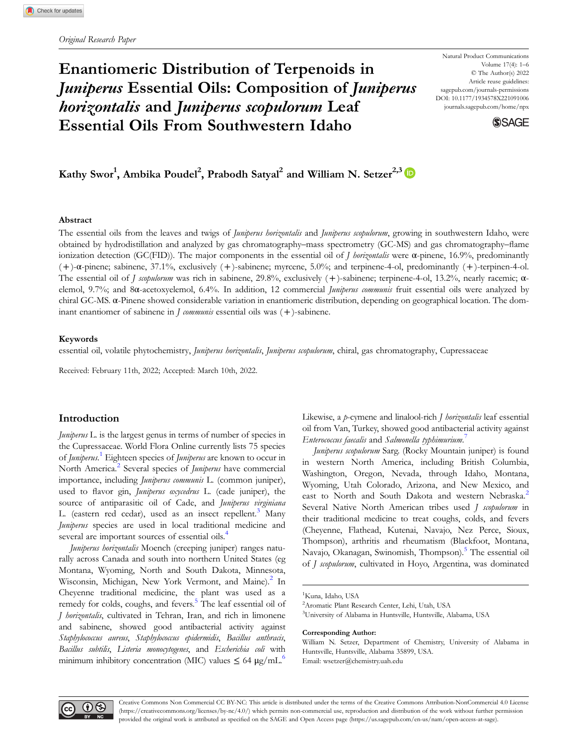# Enantiomeric Distribution of Terpenoids in Juniperus Essential Oils: Composition of Juniperus horizontalis and Juniperus scopulorum Leaf Essential Oils From Southwestern Idaho

Natural Product Communications Volume 17(4): 1–6 © The Author(s) 2022 Article reuse guidelines: [sagepub.com/journals-permissions](https://us.sagepub.com/en-us/journals-permissions) DOI: 10.1177/1934578X221091006 [journals.sagepub.com/home/npx](https://journals.sagepub.com/home/npx)



## Kathy Swor $^1$ , Ambika Poudel $^2$ , Prabodh Satyal $^2$  and William N. Setzer $^{2,3}$

#### Abstract

The essential oils from the leaves and twigs of *Juniperus horizontalis* and *Juniperus scopulorum*, growing in southwestern Idaho, were obtained by hydrodistillation and analyzed by gas chromatography–mass spectrometry (GC-MS) and gas chromatography–flame ionization detection (GC(FID)). The major components in the essential oil of *J horizontalis* were α-pinene, 16.9%, predominantly (+)-α-pinene; sabinene, 37.1%, exclusively (+)-sabinene; myrcene, 5.0%; and terpinene-4-ol, predominantly (+)-terpinen-4-ol. The essential oil of J scopulorum was rich in sabinene, 29.8%, exclusively ( +)-sabinene; terpinene-4-ol, 13.2%, nearly racemic; αelemol, 9.7%; and 8α-acetoxyelemol, 6.4%. In addition, 12 commercial Juniperus communis fruit essential oils were analyzed by chiral GC-MS. α-Pinene showed considerable variation in enantiomeric distribution, depending on geographical location. The dominant enantiomer of sabinene in  $\bar{J}$  communis essential oils was  $(+)$ -sabinene.

## Keywords

essential oil, volatile phytochemistry, Juniperus horizontalis, Juniperus scopulorum, chiral, gas chromatography, Cupressaceae

Received: February 11th, 2022; Accepted: March 10th, 2022.

## Introduction

Juniperus L. is the largest genus in terms of number of species in the Cupressaceae. World Flora Online currently lists 75 species of Juniperus.<sup>[1](#page-4-0)</sup> Eighteen species of Juniperus are known to occur in North America.<sup>2</sup> Several species of *Juniperus* have commercial importance, including Juniperus communis L. (common juniper), used to flavor gin, Juniperus oxycedrus L. (cade juniper), the source of antiparasitic oil of Cade, and Juniperus virginiana L. (eastern red cedar), used as an insect repellent.<sup>[3](#page-4-0)</sup> Many Juniperus species are used in local traditional medicine and several are important sources of essential oils.<sup>[4](#page-4-0)</sup>

Juniperus horizontalis Moench (creeping juniper) ranges naturally across Canada and south into northern United States (eg Montana, Wyoming, North and South Dakota, Minnesota, Wisconsin, Michigan, New York Vermont, and Maine).<sup>[2](#page-4-0)</sup> In Cheyenne traditional medicine, the plant was used as a remedy for colds, coughs, and fevers.<sup>[5](#page-4-0)</sup> The leaf essential oil of J horizontalis, cultivated in Tehran, Iran, and rich in limonene and sabinene, showed good antibacterial activity against Staphylococcus aureus, Staphylococcus epidermidis, Bacillus anthracis, Bacillus subtilis, Listeria monocytogenes, and Escherichia coli with minimum inhibitory concentration (MIC) values  $\leq 64 \text{ µg/mL}^6$ .

Likewise, a p-cymene and linalool-rich *J horizontalis* leaf essential oil from Van, Turkey, showed good antibacterial activity against Enterococcus faecalis and Salmonella typhimurium.<sup>[7](#page-4-0)</sup>

Juniperus scopulorum Sarg. (Rocky Mountain juniper) is found in western North America, including British Columbia, Washington, Oregon, Nevada, through Idaho, Montana, Wyoming, Utah Colorado, Arizona, and New Mexico, and east to North and South Dakota and western Nebraska.<sup>[2](#page-4-0)</sup> Several Native North American tribes used *J scopulorum* in their traditional medicine to treat coughs, colds, and fevers (Cheyenne, Flathead, Kutenai, Navajo, Nez Perce, Sioux, Thompson), arthritis and rheumatism (Blackfoot, Montana, Navajo, Okanagan, Swinomish, Thompson).<sup>5</sup> The essential oil of J scopulorum, cultivated in Hoyo, Argentina, was dominated

#### Corresponding Author:

William N. Setzer, Department of Chemistry, University of Alabama in Huntsville, Huntsville, Alabama 35899, USA. Email: [wsetzer@chemistry.uah.edu](mailto:wsetzer@chemistry.uah.edu)



<sup>1</sup> Kuna, Idaho, USA

<sup>2</sup> Aromatic Plant Research Center, Lehi, Utah, USA

<sup>3</sup> University of Alabama in Huntsville, Huntsville, Alabama, USA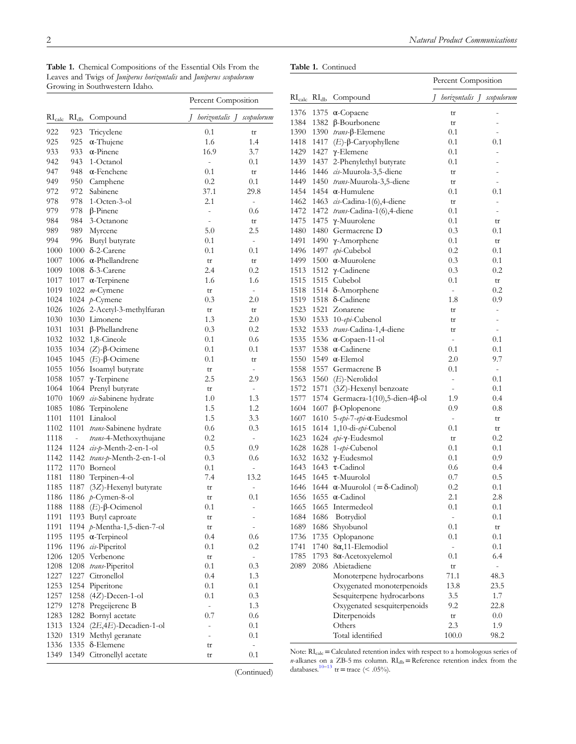<span id="page-1-0"></span>Table 1. Chemical Compositions of the Essential Oils From the Leaves and Twigs of Juniperus horizontalis and Juniperus scopulorum Growing in Southwestern Idaho.

## Table 1. Continued

|                             |                             |                              |                          | Percent Composition          |
|-----------------------------|-----------------------------|------------------------------|--------------------------|------------------------------|
| $\mathrm{RI}_\mathrm{calc}$ | $\mathrm{RI}_{\mathrm{db}}$ | Compound                     | I                        | horizontalis J scopulorum    |
| 922                         | 923                         | Tricyclene                   | 0.1                      | tr                           |
| 925                         | 925                         | $\alpha$ -Thujene            | 1.6                      | 1.4                          |
| 933                         | 933                         | $\alpha$ -Pinene             | 16.9                     | 3.7                          |
| 942                         | 943                         | 1-Octanol                    | $\overline{\phantom{0}}$ | 0.1                          |
| 947                         | 948                         | $\alpha$ -Fenchene           | 0.1                      | tr                           |
| 949                         | 950                         | Camphene                     | 0.2                      | 0.1                          |
| 972                         | 972                         | Sabinene                     | 37.1                     | 29.8                         |
| 978                         | 978                         | $1$ -Octen-3-ol              | 2.1                      | $\overline{\phantom{0}}$     |
| 979                         | 978                         | $\beta$ -Pinene              | -                        | 0.6                          |
| 984                         | 984                         | 3-Octanone                   | $\overline{a}$           | tr                           |
| 989                         | 989                         | Myrcene                      | 5.0                      | 2.5                          |
| 994                         | 996                         | Butyl butyrate               | 0.1                      | $\overline{\phantom{a}}$     |
| 1000                        |                             | $1000 \delta$ -2-Carene      | 0.1                      | 0.1                          |
| 1007                        |                             | 1006 $\alpha$ -Phellandrene  | tr                       | tr                           |
| 1009                        |                             | $1008$ $\delta$ -3-Carene    | 2.4                      | 0.2                          |
| 1017                        |                             | 1017 $\alpha$ -Terpinene     | 1.6                      | 1.6                          |
| 1019                        |                             | 1022 m-Cymene                |                          |                              |
| 1024                        |                             |                              | tr<br>0.3                | $\overline{\phantom{0}}$     |
| 1026                        |                             | 1024 $p$ -Cymene             |                          | 2.0                          |
|                             |                             | 1026 2-Acetyl-3-methylfuran  | tr                       | tr                           |
| 1030                        |                             | 1030 Limonene                | 1.3                      | 2.0                          |
| 1031                        |                             | 1031 $β$ -Phellandrene       | 0.3                      | $_{0.2}$                     |
| 1032                        |                             | 1032 1,8-Cineole             | 0.1                      | 0.6                          |
| 1035                        |                             | 1034 (Z)-β-Ocimene           | 0.1                      | 0.1                          |
| 1045                        |                             | 1045 ( <i>E</i> )-β-Ocimene  | 0.1                      | tr                           |
| 1055                        |                             | 1056 Isoamyl butyrate        | tr                       | $\qquad \qquad \blacksquare$ |
| 1058                        |                             | 1057 γ-Terpinene             | 2.5                      | 2.9                          |
| 1064                        |                             | 1064 Prenyl butyrate         | tr                       | $\overline{\phantom{0}}$     |
| 1070                        |                             | 1069 cis-Sabinene hydrate    | 1.0                      | 1.3                          |
| 1085                        |                             | 1086 Terpinolene             | 1.5                      | 1.2                          |
| 1101                        |                             | 1101 Linalool                | 1.5                      | 3.3                          |
| 1102                        |                             | 1101 trans-Sabinene hydrate  | 0.6                      | 0.3                          |
| 1118                        | $\frac{1}{2}$               | trans-4-Methoxythujane       | 0.2                      | $\overline{\phantom{a}}$     |
| 1124                        |                             | 1124 cis-p-Menth-2-en-1-ol   | 0.5                      | 0.9                          |
| 1142                        |                             | 1142 trans-p-Menth-2-en-1-ol | 0.3                      | 0.6                          |
| 1172                        |                             | 1170 Borneol                 | 0.1                      | $\overline{\phantom{0}}$     |
| 1181                        |                             | 1180 Terpinen-4-ol           | 7.4                      | 13.2                         |
| 1185                        |                             | 1187 (3Z)-Hexenyl butyrate   | tr                       |                              |
| 1186                        |                             | 1186 p-Cymen-8-ol            |                          | -<br>0.1                     |
|                             |                             | 1188 $(E)$ -β-Ocimenol       | tr<br>0.1                |                              |
| 1188                        |                             |                              |                          |                              |
| 1191                        |                             | 1193 Butyl caproate          | tr                       | -                            |
| 1191                        |                             | 1194 p-Mentha-1,5-dien-7-ol  | tr                       | $\overline{\phantom{0}}$     |
| 1195                        | 1195                        | $\alpha$ -Terpineol          | 0.4                      | 0.6                          |
| 1196                        | 1196                        | cis-Piperitol                | 0.1                      | 0.2                          |
| 1206                        | 1205                        | Verbenone                    | tr                       | $\blacksquare$               |
| 1208                        | 1208                        | trans-Piperitol              | 0.1                      | 0.3                          |
| 1227                        | 1227                        | Citronellol                  | 0.4                      | 1.3                          |
| 1253                        |                             | 1254 Piperitone              | 0.1                      | 0.1                          |
| 1257                        | 1258                        | $(4Z)$ -Decen-1-ol           | 0.1                      | 0.3                          |
| 1279                        | 1278                        | Pregeijerene B               | ÷                        | 1.3                          |
| 1283                        |                             | 1282 Bornyl acetate          | 0.7                      | 0.6                          |
| 1313                        |                             | 1324 (2E,4E)-Decadien-1-ol   |                          | 0.1                          |
| 1320                        | 1319                        | Methyl geranate              | $\overline{\phantom{0}}$ | 0.1                          |
| 1336                        | 1335                        | $\delta$ -Elemene            | tr                       | $\frac{1}{2}$                |
| 1349                        | 1349                        | Citronellyl acetate          | tr                       | 0.1                          |
|                             |                             |                              |                          |                              |

|                                                           |      |                                               | Percent Composition |                |                           |
|-----------------------------------------------------------|------|-----------------------------------------------|---------------------|----------------|---------------------------|
| $\mathrm{RI}_{\mathrm{calc}}$ $\mathrm{RI}_{\mathrm{db}}$ |      | Compound                                      | I                   |                | horizontalis J scopulorum |
| 1376                                                      |      | 1375 α-Copaene                                |                     | tr             | $\overline{a}$            |
| 1384                                                      |      | 1382 β-Bourbonene                             |                     | tr             |                           |
| 1390                                                      |      | 1390 trans-β-Elemene                          |                     | $_{0.1}$       | $\overline{a}$            |
| 1418                                                      |      | 1417 $(E)$ -β-Caryophyllene                   |                     | 0.1            | 0.1                       |
| 1429                                                      |      | 1427 γ-Elemene                                |                     | 0.1            | $\overline{a}$            |
| 1439                                                      |      | 1437 2-Phenylethyl butyrate                   |                     | 0.1            | $\overline{a}$            |
| 1446                                                      |      | 1446 cis-Muurola-3,5-diene                    |                     | tr             | $\overline{a}$            |
| 1449                                                      |      | 1450 trans-Muurola-3,5-diene                  |                     | tr             | $\overline{\phantom{0}}$  |
| 1454                                                      |      | 1454 $\alpha$ -Humulene                       |                     | 0.1            | 0.1                       |
| 1462                                                      |      | 1463 $\cos$ -Cadina-1(6),4-diene              |                     | tr             | $\overline{\phantom{a}}$  |
| 1472                                                      |      | 1472 trans-Cadina-1(6),4-diene                |                     | $_{0.1}$       | $\overline{a}$            |
| 1475                                                      |      | 1475 γ-Muurolene                              |                     | 0.1            | tr                        |
| 1480                                                      |      | 1480 Germacrene D                             |                     | 0.3            | $_{0.1}$                  |
| 1491                                                      |      | 1490 γ-Amorphene                              |                     | 0.1            | tr                        |
| 1496                                                      |      | 1497 epi-Cubebol                              |                     | 0.2            | 0.1                       |
| 1499                                                      |      | 1500 $\alpha$ -Muurolene                      |                     | 0.3            | 0.1                       |
| 1513                                                      |      | 1512 γ-Cadinene                               |                     | 0.3            | 0.2                       |
| 1515                                                      |      | 1515 Cubebol                                  |                     | 0.1            | tr                        |
| 1518                                                      |      | 1514 8-Amorphene                              |                     | $\overline{a}$ | 0.2                       |
| 1519                                                      |      | 1518 δ-Cadinene                               |                     | 1.8            | 0.9                       |
| 1523                                                      |      | 1521 Zonarene                                 |                     | tr             | $\frac{1}{2}$             |
| 1530                                                      |      | 1533 10-epi-Cubenol                           |                     | tr             | $\overline{\phantom{0}}$  |
| 1532                                                      |      | 1533 trans-Cadina-1,4-diene                   |                     | tr             | $\overline{\phantom{a}}$  |
| 1535                                                      |      | 1536 $\alpha$ -Copaen-11-ol                   |                     | $\overline{a}$ | 0.1                       |
| 1537                                                      |      | 1538 $\alpha$ -Cadinene                       |                     | 0.1            | 0.1                       |
| 1550                                                      |      | 1549 $\alpha$ -Elemol                         |                     | 2.0            | 9.7                       |
| 1558                                                      |      | 1557 Germacrene B                             |                     | 0.1            | $\overline{\phantom{a}}$  |
| 1563                                                      |      | 1560 (E)-Nerolidol                            |                     | $\overline{a}$ | 0.1                       |
| 1572                                                      |      | 1571 (3Z)-Hexenyl benzoate                    |                     | $\frac{1}{2}$  | 0.1                       |
| 1577                                                      |      | 1574 Germacra-1(10),5-dien-4 $\beta$ -ol      |                     | 1.9            | 0.4                       |
| 1604                                                      |      | 1607 β-Oplopenone                             |                     | 0.9            | 0.8                       |
| 1607                                                      |      | 1610 5-epi-7-epi-α-Eudesmol                   |                     | $\frac{1}{2}$  | tr                        |
| 1615                                                      |      | 1614 1,10-di-epi-Cubenol                      |                     | 0.1            | tr                        |
| 1623                                                      |      | 1624 epi-γ-Eudesmol                           |                     | tr             | 0.2                       |
| 1628                                                      |      | 1628 1-epi-Cubenol                            |                     | 0.1            | 0.1                       |
| 1632                                                      |      | 1632 γ-Eudesmol                               |                     | 0.1            | 0.9                       |
| 1643                                                      |      | 1643 $\tau$ -Cadinol                          |                     | 0.6            | 0.4                       |
| 1645                                                      |      | 1645 $\tau$ -Muurolol                         |                     | 0.7            | 0.5                       |
| 1646                                                      |      | 1644 $\alpha$ -Muurolol (= $\delta$ -Cadinol) |                     | 0.2            | $_{0.1}$                  |
|                                                           |      | 1656 1655 $\alpha$ -Cadinol                   |                     | 2.1            | 2.8                       |
| 1665                                                      |      | 1665 Intermedeol                              |                     | 0.1            | 0.1                       |
| 1684                                                      | 1686 | Botrydiol                                     |                     | $\Box$         | 0.1                       |
| 1689                                                      | 1686 | Shyobunol                                     |                     | 0.1            | tr                        |
| 1736                                                      | 1735 | Oplopanone                                    |                     | 0.1            | 0.1                       |
| 1741                                                      | 1740 | $8\alpha$ , 11-Elemodiol                      |                     | $\overline{a}$ | 0.1                       |
| 1785                                                      | 1793 | 8α-Acetoxyelemol                              |                     | 0.1            | 6.4                       |
| 2089                                                      | 2086 | Abietadiene                                   |                     | tr             | $\overline{a}$            |
|                                                           |      | Monoterpene hydrocarbons                      |                     | 71.1           | 48.3                      |
|                                                           |      | Oxygenated monoterpenoids                     |                     | 13.8           | 23.5                      |
|                                                           |      | Sesquiterpene hydrocarbons                    |                     | 3.5            | 1.7                       |
|                                                           |      | Oxygenated sesquiterpenoids                   |                     | 9.2            | 22.8                      |
|                                                           |      | Diterpenoids                                  |                     | tr             | 0.0                       |
|                                                           |      | Others                                        |                     | 2.3            | 1.9                       |
|                                                           |      | Total identified                              |                     | 100.0          | 98.2                      |

Note:  $RI_{calc} = Calculated$  retention index with respect to a homologous series of  $n$ -alkanes on a ZB-5 ms column.  $RI_{db}$ =Reference retention index from the databases.<sup>10–[13](#page-4-0)</sup> tr=trace (< .05%).

(Continued)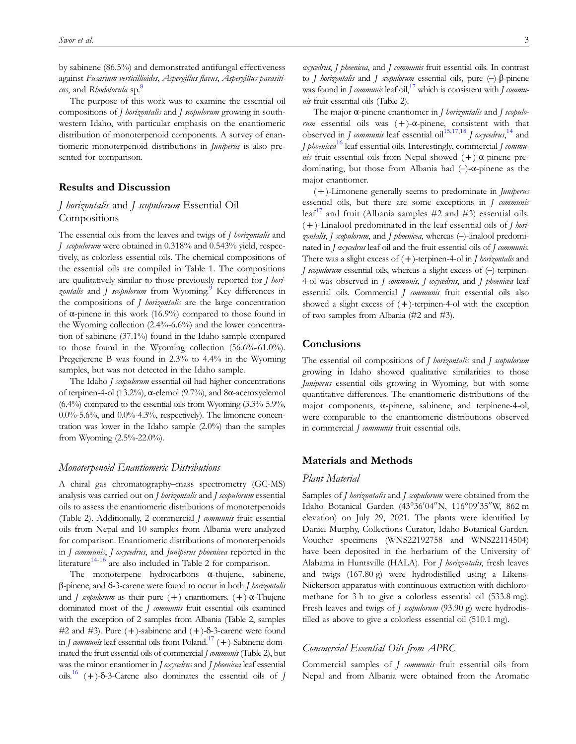by sabinene (86.5%) and demonstrated antifungal effectiveness against Fusarium verticillioides, Aspergillus flavus, Aspergillus parasiti-cus, and Rhodotorula sp.<sup>[8](#page-4-0)</sup>

The purpose of this work was to examine the essential oil compositions of *J horizontalis* and *J scopulorum* growing in southwestern Idaho, with particular emphasis on the enantiomeric distribution of monoterpenoid components. A survey of enantiomeric monoterpenoid distributions in *Juniperus* is also presented for comparison.

## Results and Discussion

## J horizontalis and J scopulorum Essential Oil **Compositions**

The essential oils from the leaves and twigs of *J horizontalis* and J scopulorum were obtained in 0.318% and 0.543% yield, respectively, as colorless essential oils. The chemical compositions of the essential oils are compiled in [Table 1.](#page-1-0) The compositions are qualitatively similar to those previously reported for *J hori*zontalis and *J scopulorum* from Wyoming.<sup>9</sup> Key differences in the compositions of *J horizontalis* are the large concentration of α-pinene in this work (16.9%) compared to those found in the Wyoming collection (2.4%-6.6%) and the lower concentration of sabinene (37.1%) found in the Idaho sample compared to those found in the Wyoming collection (56.6%-61.0%). Pregeijerene B was found in 2.3% to 4.4% in the Wyoming samples, but was not detected in the Idaho sample.

The Idaho *J scopulorum* essential oil had higher concentrations of terpinen-4-ol (13.2%), α-elemol (9.7%), and 8α-acetoxyelemol  $(6.4\%)$  compared to the essential oils from Wyoming  $(3.3\% - 5.9\%$ ,  $0.0\%$ -5.6%, and  $0.0\%$ -4.3%, respectively). The limonene concentration was lower in the Idaho sample (2.0%) than the samples from Wyoming (2.5%-22.0%).

## Monoterpenoid Enantiomeric Distributions

A chiral gas chromatography–mass spectrometry (GC-MS) analysis was carried out on *J horizontalis* and *J scopulorum* essential oils to assess the enantiomeric distributions of monoterpenoids [\(Table 2](#page-3-0)). Additionally, 2 commercial J communis fruit essential oils from Nepal and 10 samples from Albania were analyzed for comparison. Enantiomeric distributions of monoterpenoids in J communis, J oxycedrus, and Juniperus phoenicea reported in the literature<sup>14-[16](#page-5-0)</sup> are also included in [Table 2](#page-3-0) for comparison.

The monoterpene hydrocarbons α-thujene, sabinene, β-pinene, and δ-3-carene were found to occur in both J horizontalis and *J scopulorum* as their pure  $(+)$  enantiomers.  $(+)$ -α-Thujene dominated most of the *J communis* fruit essential oils examined with the exception of 2 samples from Albania [\(Table 2](#page-3-0), samples #2 and #3). Pure  $(+)$ -sabinene and  $(+)$ -δ-3-carene were found in *I communis* leaf essential oils from Poland.<sup>17</sup> (+)-Sabinene dominated the fruit essential oils of commercial *J communis* [\(Table 2\)](#page-3-0), but was the minor enantiomer in *J oxycedrus* and *J phoenicea* leaf essential oils.<sup>16</sup> (+)-δ-3-Carene also dominates the essential oils of J oxycedrus, J phoenicea, and J communis fruit essential oils. In contrast to J horizontalis and J scopulorum essential oils, pure (–)-β-pinene was found in *J communis* leaf oil,<sup>17</sup> which is consistent with *J commu*nis fruit essential oils ([Table 2](#page-3-0)).

The major α-pinene enantiomer in *J horizontalis* and *J scopulo*rum essential oils was  $(+)$ - $\alpha$ -pinene, consistent with that observed in *J communis* leaf essential oil<sup>[15,17,18](#page-5-0)</sup> *J oxycedrus*,<sup>[14](#page-4-0)</sup> and *J* phoenicea<sup>[16](#page-5-0)</sup> leaf essential oils. Interestingly, commercial *J communis* fruit essential oils from Nepal showed  $(+)$ - $\alpha$ -pinene predominating, but those from Albania had (–)-α-pinene as the major enantiomer.

(+)-Limonene generally seems to predominate in Juniperus essential oils, but there are some exceptions in J communis leaf<sup>[17](#page-5-0)</sup> and fruit (Albania samples  $#2$  and  $#3$ ) essential oils.  $(+)$ -Linalool predominated in the leaf essential oils of *J hori*zontalis, J scopulorum, and J phoenicea, whereas (-)-linalool predominated in *J* oxycedrus leaf oil and the fruit essential oils of *J communis*. There was a slight excess of  $(+)$ -terpinen-4-ol in *J horizontalis* and *J scopulorum* essential oils, whereas a slight excess of  $(-)$ -terpinen-4-ol was observed in *J communis*, *J oxycedrus*, and *J phoenicea* leaf essential oils. Commercial *J communis* fruit essential oils also showed a slight excess of  $(+)$ -terpinen-4-ol with the exception of two samples from Albania (#2 and #3).

## **Conclusions**

The essential oil compositions of *J horizontalis* and *J scopulorum* growing in Idaho showed qualitative similarities to those *Juniperus* essential oils growing in Wyoming, but with some quantitative differences. The enantiomeric distributions of the major components, α-pinene, sabinene, and terpinene-4-ol, were comparable to the enantiomeric distributions observed in commercial *J communis* fruit essential oils.

#### Materials and Methods

#### Plant Material

Samples of *J horizontalis* and *J scopulorum* were obtained from the Idaho Botanical Garden (43°36′ 04′′N, 116°09′ 35′′W, 862 m elevation) on July 29, 2021. The plants were identified by Daniel Murphy, Collections Curator, Idaho Botanical Garden. Voucher specimens (WNS22192758 and WNS22114504) have been deposited in the herbarium of the University of Alabama in Huntsville (HALA). For *J horizontalis*, fresh leaves and twigs (167.80 g) were hydrodistilled using a Likens-Nickerson apparatus with continuous extraction with dichloromethane for 3 h to give a colorless essential oil (533.8 mg). Fresh leaves and twigs of J scopulorum (93.90 g) were hydrodistilled as above to give a colorless essential oil (510.1 mg).

## Commercial Essential Oils from APRC

Commercial samples of J communis fruit essential oils from Nepal and from Albania were obtained from the Aromatic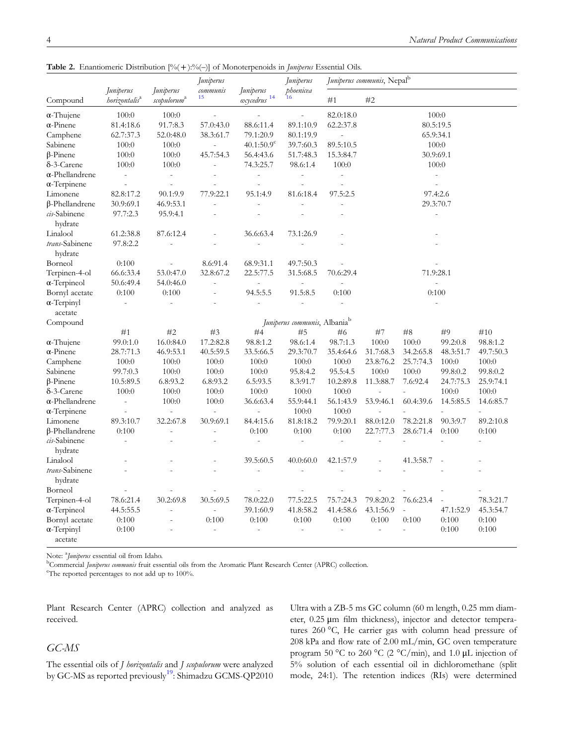<span id="page-3-0"></span>Table 2. Enantiomeric Distribution  $[% (+):% (-)]$  of Monoterpenoids in *Juniperus* Essential Oils.

|                               | Juniperus                       | Juniperus               | Juniperus<br>communis | Juniperus<br>oxycedrus <sup>14</sup> | Juniperus<br>phoenicea                           | J <i>uniperus communis</i> , Nepal <sup>b</sup> |                          |                |                |                |
|-------------------------------|---------------------------------|-------------------------|-----------------------|--------------------------------------|--------------------------------------------------|-------------------------------------------------|--------------------------|----------------|----------------|----------------|
| Compound                      | <i>horizontalis<sup>a</sup></i> | scopulorum <sup>a</sup> | 15                    |                                      | 16                                               | #1                                              | #2                       |                |                |                |
| $\alpha$ -Thujene             | 100:0                           | 100:0                   |                       |                                      |                                                  | 82.0:18.0                                       |                          |                | 100:0          |                |
| $\alpha$ -Pinene              | 81.4:18.6                       |                         | 57.0:43.0             | 88.6:11.4                            | 89.1:10.9                                        | 62.2:37.8                                       | 80.5:19.5                |                |                |                |
| Camphene                      | 62.7:37.3                       | 52.0:48.0               | 38.3:61.7             | 79.1:20.9                            | 80.1:19.9                                        | L,                                              | 65.9:34.1                |                |                |                |
| Sabinene                      | 100:0                           | 100:0                   |                       | $40.1:50.9^c$                        | 39.7:60.3                                        | 89.5:10.5                                       | 100:0                    |                |                |                |
| $\beta$ -Pinene               | 100:0                           | 100:0                   | 45.7:54.3             | 56.4:43.6                            | 51.7:48.3                                        | 15.3:84.7                                       | 30.9:69.1                |                |                |                |
| $\delta$ -3-Carene            | 100:0                           | 100:0                   | $\overline{a}$        | 74.3:25.7                            | 98.6:1.4                                         | 100:0                                           | 100:0                    |                |                |                |
| $\alpha$ -Phellandrene        | $\overline{a}$                  | $\frac{1}{2}$           | $\overline{a}$        | $\overline{a}$                       | $\overline{\phantom{a}}$                         | $\overline{\phantom{a}}$                        | $\overline{\phantom{a}}$ |                |                |                |
| $\alpha$ -Terpinene           |                                 |                         |                       |                                      |                                                  |                                                 |                          |                |                |                |
| Limonene                      | 82.8:17.2                       | 90.1:9.9                | 77.9:22.1             | 95.1:4.9                             | 81.6:18.4                                        | 97.5:2.5                                        | 97.4:2.6                 |                |                |                |
| β-Phellandrene                | 30.9:69.1                       | 46.9:53.1               | $\overline{a}$        |                                      |                                                  | L,                                              | 29.3:70.7                |                |                |                |
| cis-Sabinene                  | 97.7:2.3                        | 95.9:4.1                |                       |                                      |                                                  |                                                 | $\overline{\phantom{a}}$ |                |                |                |
| hydrate                       |                                 |                         |                       |                                      |                                                  |                                                 |                          |                |                |                |
| Linalool                      | 61.2:38.8                       | 87.6:12.4               |                       | 36.6:63.4                            | 73.1:26.9                                        |                                                 |                          |                |                |                |
| trans-Sabinene                | 97.8:2.2                        |                         |                       |                                      |                                                  |                                                 |                          |                |                |                |
| hydrate                       |                                 |                         |                       |                                      |                                                  |                                                 |                          |                |                |                |
| Borneol                       | 0:100                           |                         | 8.6:91.4              | 68.9:31.1                            | 49.7:50.3                                        |                                                 |                          |                |                |                |
| Terpinen-4-ol                 | 66.6:33.4                       | 53.0:47.0               | 32.8:67.2             | 22.5:77.5                            | 31.5:68.5                                        | 70.6:29.4                                       | 71.9:28.1                |                |                |                |
| $\alpha$ -Terpineol           | 50.6:49.4                       | 54.0:46.0               | $\overline{a}$        |                                      |                                                  |                                                 |                          |                |                |                |
| Bornyl acetate                | 0:100                           | 0:100                   |                       | 94.5:5.5                             | 91.5:8.5                                         | 0:100                                           |                          |                |                |                |
| $\alpha$ -Terpinyl            | $\overline{a}$                  | $\frac{1}{2}$           |                       |                                      |                                                  | $\overline{a}$                                  | 0:100                    |                |                |                |
| acetate                       |                                 |                         |                       |                                      |                                                  |                                                 |                          |                |                |                |
| Compound                      |                                 |                         |                       |                                      | <i>Juniperus communis</i> , Albania <sup>b</sup> |                                                 |                          |                |                |                |
|                               | #1                              | #2                      | #3                    | #4                                   | #5                                               | #6                                              | #8<br>#9<br>#10<br>#7    |                |                |                |
| $\alpha$ -Thujene             | 99.0:1.0                        | 16.0:84.0               | 17.2:82.8             | 98.8:1.2                             | 98.6:1.4                                         | 98.7:1.3                                        | 100:0                    | 100:0          | 99.2:0.8       | 98.8:1.2       |
|                               |                                 |                         |                       |                                      |                                                  |                                                 |                          |                |                |                |
| $\alpha$ -Pinene              | 28.7:71.3                       | 46.9:53.1               | 40.5:59.5             | 33.5:66.5                            | 29.3:70.7                                        | 35.4:64.6                                       | 31.7:68.3                | 34.2:65.8      | 48.3:51.7      | 49.7:50.3      |
| Camphene                      | 100:0                           | 100:0                   | 100:0                 | 100:0                                | 100:0                                            | 100:0                                           | 23.8:76.2                | 25.7:74.3      | 100:0          | 100:0          |
| Sabinene                      | 99.7:0.3                        | 100:0                   | 100:0                 | 100:0                                | 95.8:4.2                                         | 95.5:4.5                                        | 100:0                    | 100:0          | 99.8:0.2       | 99.8:0.2       |
| $\beta$ -Pinene               | 10.5:89.5                       | 6.8:93.2                | 6.8:93.2              | 6.5:93.5                             | 8.3:91.7                                         | 10.2:89.8                                       | 11.3:88.7                | 7.6:92.4       | 24.7:75.3      | 25.9:74.1      |
| δ-3-Carene                    | 100:0                           | 100:0                   | 100:0                 | 100:0                                | 100:0                                            | $100:0$                                         | L,                       |                | 100:0          | 100:0          |
| $\alpha$ -Phellandrene        | $\overline{a}$                  | 100:0                   | 100:0                 | 36.6:63.4                            | 55.9:44.1                                        | 56.1:43.9                                       | 53.9:46.1                | 60.4:39.6      | 14.5:85.5      | 14.6:85.7      |
| $\alpha$ -Terpinene           |                                 | $\overline{a}$          | $\overline{a}$        | $\overline{a}$                       | 100:0                                            | 100:0                                           |                          |                |                |                |
| Limonene                      | 89.3:10.7                       | 32.2:67.8               | 30.9:69.1             | 84.4:15.6                            | 81.8:18.2                                        | 79.9:20.1                                       | 88.0:12.0                | 78.2:21.8      | 90.3:9.7       | 89.2:10.8      |
| β-Phellandrene                | 0:100                           |                         | $\overline{a}$        | 0:100                                | 0:100                                            | 0:100                                           | 22.7:77.3                | 28.6:71.4      | 0:100          | 0:100          |
| cis-Sabinene                  | $\overline{a}$                  |                         |                       | $\overline{a}$                       | $\overline{\phantom{a}}$                         | $\overline{\phantom{a}}$                        | ÷,                       | $\overline{a}$ | $\overline{a}$ | $\overline{a}$ |
| hydrate                       |                                 |                         |                       |                                      |                                                  |                                                 |                          |                |                |                |
| Linalool                      |                                 |                         |                       | 39.5:60.5                            | 40.0:60.0                                        | 42.1:57.9                                       |                          | 41.3:58.7      |                |                |
| trans-Sabinene                |                                 |                         |                       |                                      |                                                  |                                                 |                          |                |                |                |
| hydrate                       |                                 |                         |                       |                                      |                                                  |                                                 |                          |                |                |                |
| Borneol                       |                                 |                         |                       |                                      |                                                  |                                                 |                          |                |                |                |
| Terpinen-4-ol                 | 78.6:21.4                       | 30.2:69.8               | 30.5:69.5             | 78.0:22.0                            | 77.5:22.5                                        | 75.7:24.3                                       | 79.8:20.2                | 76.6:23.4      |                | 78.3:21.7      |
| $\alpha$ -Terpineol           | 44.5:55.5                       | $\overline{a}$          |                       | 39.1:60.9                            | 41.8:58.2                                        | 41.4:58.6                                       | 43.1:56.9                | $\overline{a}$ | 47.1:52.9      | 45.3:54.7      |
| Bornyl acetate                | 0:100                           |                         | 0:100                 | 0:100                                | 0:100                                            | 0:100                                           | 0:100                    | 0:100          | 0:100          | 0:100          |
| $\alpha$ -Terpinyl<br>acetate | 0:100                           |                         |                       |                                      | $\sim$                                           | ÷,                                              | ÷,                       | $\overline{a}$ | 0:100          | 0:100          |

Note: <sup>a</sup>*Juniperus* essential oil from Idaho.<br><sup>b</sup>Commercial *Juniperus communis* fruit esse

<sup>b</sup>Commercial Juniperus communis fruit essential oils from the Aromatic Plant Research Center (APRC) collection.

The reported percentages to not add up to 100%.

Plant Research Center (APRC) collection and analyzed as received.

## GC-MS

The essential oils of *J horizontalis* and *J scopulorum* were analyzed by GC-MS as reported previously<sup>19</sup>: Shimadzu GCMS-QP2010 Ultra with a ZB-5 ms GC column (60 m length, 0.25 mm diameter, 0.25 μm film thickness), injector and detector temperatures 260 °C, He carrier gas with column head pressure of 208 kPa and flow rate of 2.00 mL/min, GC oven temperature program 50 °C to 260 °C (2 °C/min), and 1.0 μL injection of 5% solution of each essential oil in dichloromethane (split mode, 24:1). The retention indices (RIs) were determined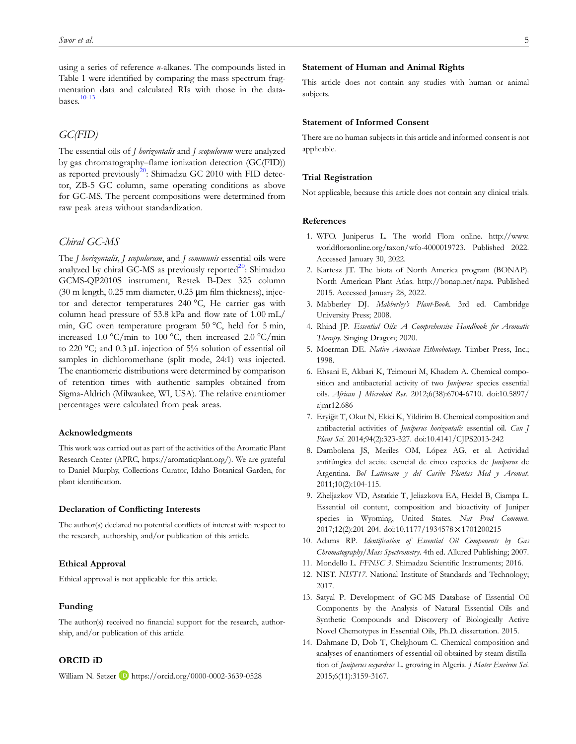<span id="page-4-0"></span>using a series of reference n-alkanes. The compounds listed in [Table 1](#page-1-0) were identified by comparing the mass spectrum fragmentation data and calculated RIs with those in the databases.10-13

## GC(FID)

The essential oils of *J horizontalis* and *J scopulorum* were analyzed by gas chromatography–flame ionization detection (GC(FID)) as reported previously<sup>[20](#page-5-0)</sup>: Shimadzu GC 2010 with FID detector, ZB-5 GC column, same operating conditions as above for GC-MS. The percent compositions were determined from raw peak areas without standardization.

## Chiral GC-MS

The J horizontalis, J scopulorum, and J communis essential oils were analyzed by chiral GC-MS as previously reported<sup>20</sup>: Shimadzu GCMS-QP2010S instrument, Restek B-Dex 325 column (30 m length,  $0.25$  mm diameter,  $0.25$  µm film thickness), injector and detector temperatures 240 °C, He carrier gas with column head pressure of 53.8 kPa and flow rate of 1.00 mL/ min, GC oven temperature program 50 °C, held for 5 min, increased 1.0 °C/min to 100 °C, then increased 2.0 °C/min to 220 °C; and 0.3 μL injection of 5% solution of essential oil samples in dichloromethane (split mode, 24:1) was injected. The enantiomeric distributions were determined by comparison of retention times with authentic samples obtained from Sigma-Aldrich (Milwaukee, WI, USA). The relative enantiomer percentages were calculated from peak areas.

### Acknowledgments

This work was carried out as part of the activities of the Aromatic Plant Research Center (APRC,<https://aromaticplant.org/>). We are grateful to Daniel Murphy, Collections Curator, Idaho Botanical Garden, for plant identification.

#### Declaration of Conflicting Interests

The author(s) declared no potential conflicts of interest with respect to the research, authorship, and/or publication of this article.

## Ethical Approval

Ethical approval is not applicable for this article.

#### Funding

The author(s) received no financial support for the research, authorship, and/or publication of this article.

## ORCID iD

William N. Setzer D <https://orcid.org/0000-0002-3639-0528>

## Statement of Human and Animal Rights

This article does not contain any studies with human or animal subjects.

## Statement of Informed Consent

There are no human subjects in this article and informed consent is not applicable.

#### Trial Registration

Not applicable, because this article does not contain any clinical trials.

## References

- 1. WFO. Juniperus L. The world Flora online. [http://www.](http://www.worldfloraonline.org/taxon/wfo-4000019723) worldfl[oraonline.org/taxon/wfo-4000019723.](http://www.worldfloraonline.org/taxon/wfo-4000019723) Published 2022. Accessed January 30, 2022.
- 2. Kartesz JT. The biota of North America program (BONAP). North American Plant Atlas. [http://bonap.net/napa.](http://bonap.net/napa) Published 2015. Accessed January 28, 2022.
- 3. Mabberley DJ. Mabberley's Plant-Book. 3rd ed. Cambridge University Press; 2008.
- 4. Rhind JP. Essential Oils: A Comprehensive Handbook for Aromatic Therapy. Singing Dragon; 2020.
- 5. Moerman DE. Native American Ethnobotany. Timber Press, Inc.; 1998.
- 6. Ehsani E, Akbari K, Teimouri M, Khadem A. Chemical composition and antibacterial activity of two Juniperus species essential oils. African J Microbiol Res. 2012;6(38):6704-6710. doi:[10.5897/](http://doi.org/10.5897/ajmr12.686) [ajmr12.686](http://doi.org/10.5897/ajmr12.686)
- 7. Eryiğit T, Okut N, Ekici K, Yildirim B. Chemical composition and antibacterial activities of Juniperus horizontalis essential oil. Can J Plant Sci. 2014;94(2):323-327. doi:[10.4141/CJPS2013-242](http://doi.org/10.4141/CJPS2013-242)
- 8. Dambolena JS, Meriles OM, López AG, et al. Actividad antifúngica del aceite esencial de cinco especies de Juniperus de Argentina. Bol Latinoam y del Caribe Plantas Med y Aromat. 2011;10(2):104-115.
- 9. Zheljazkov VD, Astatkie T, Jeliazkova EA, Heidel B, Ciampa L. Essential oil content, composition and bioactivity of Juniper species in Wyoming, United States. Nat Prod Commun. 2017;12(2):201-204. doi:[10.1177/1934578](https://doi.org/10.1177/1934578 × 1701200215) × 1701200215
- 10. Adams RP. Identification of Essential Oil Components by Gas Chromatography/Mass Spectrometry. 4th ed. Allured Publishing; 2007.
- 11. Mondello L. FFNSC 3. Shimadzu Scientific Instruments; 2016.
- 12. NIST. NIST17. National Institute of Standards and Technology; 2017.
- 13. Satyal P. Development of GC-MS Database of Essential Oil Components by the Analysis of Natural Essential Oils and Synthetic Compounds and Discovery of Biologically Active Novel Chemotypes in Essential Oils, Ph.D. dissertation. 2015.
- 14. Dahmane D, Dob T, Chelghoum C. Chemical composition and analyses of enantiomers of essential oil obtained by steam distillation of Juniperus oxycedrus L. growing in Algeria. J Mater Environ Sci. 2015;6(11):3159-3167.